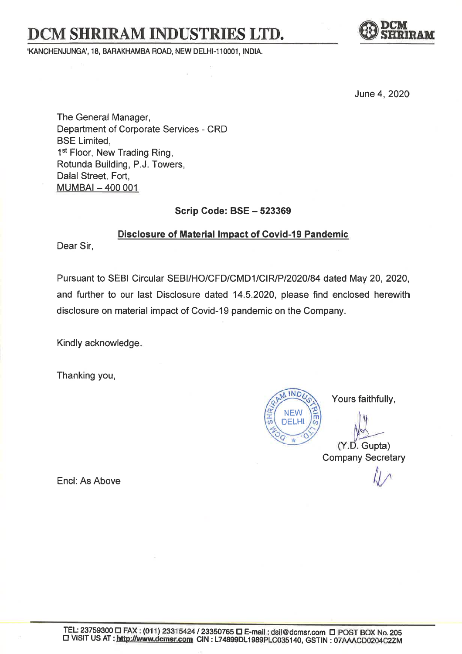## DCM SHRIRAM INDUSTRIES LTD.

'KANCHENJUNGA', 18, BARAKHAMBA ROAD, NEW DELHI-110001, INDIA.



June 4, 2020

The General Manager, Department of Corporate Services - CRD BSE Limited, 1<sup>st</sup> Floor, New Trading Ring, Rotunda Building, P.J. Towers, Dalal Street, Fort, MUMBAI - 400 001

Scrip Code: BSE - 523369

Disclosure of Material lmpact of Covid-l9 Pandemic

Dear Sir,

Pursuant to SEBI Circular SEBI/HO/CFD/CMD1/CIR/P/2020/84 dated May 20, 2020, and further to our last Disclosure dated 14.5.2020, please find enclosed herewith disclosure on material impact of Covid-19 pandemic on the Company.

Kindly acknowledge

Thanking you,

**INC** NEW DELHI

Yours faithfully,

 $(Y.D.$  Gupta) Company Secretary

Encl: As Above illustration of  $\mathcal{U}$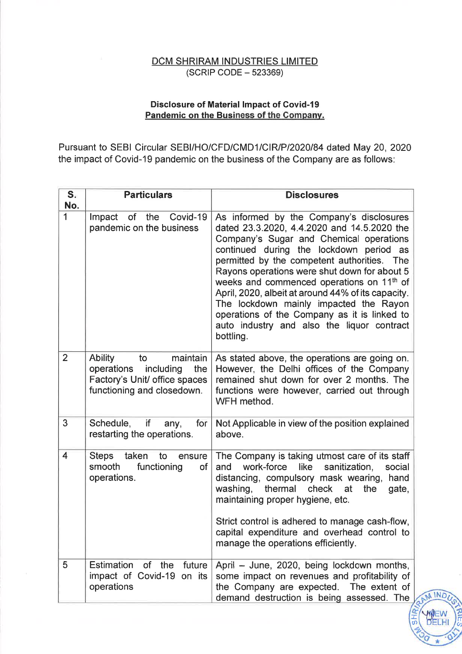## $(SCRIP CODE - 523369)$ DCM SHRIRAM INDUSTRIES LIMITED

## Disclosure of Material lmpact of Govid-l9 Pandemic on the Business of the Gompanv.

Pursuant to SEBI Circular SEBI/HO/CFD/CMD1/CIR/P/2020/84 dated May 20, 2020 the impact of Covid-19 pandemic on the business of the Company are as follows:

| $S_{\cdot}$<br>No. | <b>Particulars</b>                                                                                                             | <b>Disclosures</b>                                                                                                                                                                                                                                                                                                                                                                                                                                                                                                                               |
|--------------------|--------------------------------------------------------------------------------------------------------------------------------|--------------------------------------------------------------------------------------------------------------------------------------------------------------------------------------------------------------------------------------------------------------------------------------------------------------------------------------------------------------------------------------------------------------------------------------------------------------------------------------------------------------------------------------------------|
| 1                  | Impact<br>of<br>the<br>Covid-19<br>pandemic on the business                                                                    | As informed by the Company's disclosures<br>dated 23.3.2020, 4.4.2020 and 14.5.2020 the<br>Company's Sugar and Chemical operations<br>continued during the lockdown period as<br>permitted by the competent authorities. The<br>Rayons operations were shut down for about 5<br>weeks and commenced operations on 11 <sup>th</sup> of<br>April, 2020, albeit at around 44% of its capacity.<br>The lockdown mainly impacted the Rayon<br>operations of the Company as it is linked to<br>auto industry and also the liquor contract<br>bottling. |
| $\overline{2}$     | <b>Ability</b><br>maintain<br>to<br>operations including<br>the<br>Factory's Unit/ office spaces<br>functioning and closedown. | As stated above, the operations are going on.<br>However, the Delhi offices of the Company<br>remained shut down for over 2 months. The<br>functions were however, carried out through<br>WFH method.                                                                                                                                                                                                                                                                                                                                            |
| $\overline{3}$     | Schedule,<br>if<br>for<br>any,<br>restarting the operations.                                                                   | Not Applicable in view of the position explained<br>above.                                                                                                                                                                                                                                                                                                                                                                                                                                                                                       |
| 4                  | taken<br><b>Steps</b><br>to<br>ensure<br>functioning<br>smooth<br>of<br>operations.                                            | The Company is taking utmost care of its staff<br>like<br>work-force<br>sanitization,<br>and<br>social<br>distancing, compulsory mask wearing,<br>hand<br>washing,<br>thermal<br>check<br>gate,<br>at<br>the<br>maintaining proper hygiene, etc.<br>Strict control is adhered to manage cash-flow,<br>capital expenditure and overhead control to<br>manage the operations efficiently.                                                                                                                                                          |
| 5                  | Estimation of the<br>future<br>impact of Covid-19 on its<br>operations                                                         | April - June, 2020, being lockdown months,<br>some impact on revenues and profitability of<br>the Company are expected. The extent of<br>demand destruction is being assessed. The                                                                                                                                                                                                                                                                                                                                                               |